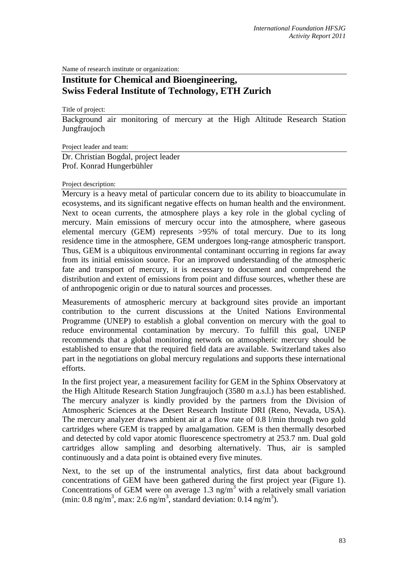Name of research institute or organization:

## **Institute for Chemical and Bioengineering, Swiss Federal Institute of Technology, ETH Zurich**

Title of project:

Background air monitoring of mercury at the High Altitude Research Station Jungfraujoch

Project leader and team:

Dr. Christian Bogdal, project leader Prof. Konrad Hungerbühler

## Project description:

Mercury is a heavy metal of particular concern due to its ability to bioaccumulate in ecosystems, and its significant negative effects on human health and the environment. Next to ocean currents, the atmosphere plays a key role in the global cycling of mercury. Main emissions of mercury occur into the atmosphere, where gaseous elemental mercury (GEM) represents >95% of total mercury. Due to its long residence time in the atmosphere, GEM undergoes long-range atmospheric transport. Thus, GEM is a ubiquitous environmental contaminant occurring in regions far away from its initial emission source. For an improved understanding of the atmospheric fate and transport of mercury, it is necessary to document and comprehend the distribution and extent of emissions from point and diffuse sources, whether these are of anthropogenic origin or due to natural sources and processes.

Measurements of atmospheric mercury at background sites provide an important contribution to the current discussions at the United Nations Environmental Programme (UNEP) to establish a global convention on mercury with the goal to reduce environmental contamination by mercury. To fulfill this goal, UNEP recommends that a global monitoring network on atmospheric mercury should be established to ensure that the required field data are available. Switzerland takes also part in the negotiations on global mercury regulations and supports these international efforts.

In the first project year, a measurement facility for GEM in the Sphinx Observatory at the High Altitude Research Station Jungfraujoch (3580 m a.s.l.) has been established. The mercury analyzer is kindly provided by the partners from the Division of Atmospheric Sciences at the Desert Research Institute DRI (Reno, Nevada, USA). The mercury analyzer draws ambient air at a flow rate of 0.8 l/min through two gold cartridges where GEM is trapped by amalgamation. GEM is then thermally desorbed and detected by cold vapor atomic fluorescence spectrometry at 253.7 nm. Dual gold cartridges allow sampling and desorbing alternatively. Thus, air is sampled continuously and a data point is obtained every five minutes.

Next, to the set up of the instrumental analytics, first data about background concentrations of GEM have been gathered during the first project year (Figure 1). Concentrations of GEM were on average 1.3 ng/m<sup>3</sup> with a relatively small variation (min: 0.8 ng/m<sup>3</sup>, max: 2.6 ng/m<sup>3</sup>, standard deviation: 0.14 ng/m<sup>3</sup>).